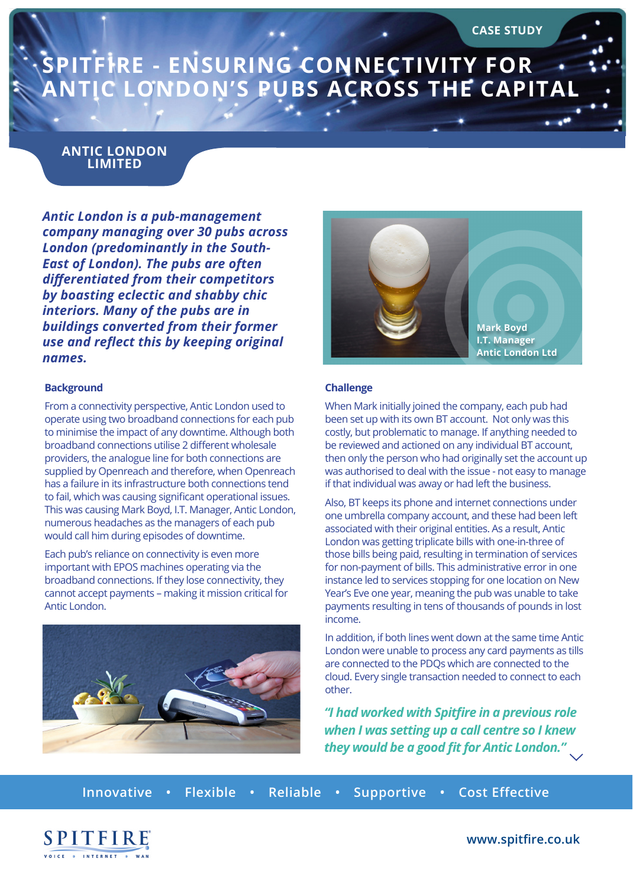# **SPITFIRE - ENSURING CONNECTIVITY FOR ANTIC LONDON'S PUBS ACROSS THE CAPITAL**

### **ANTIC LONDON LIMITED**

*Antic London is a pub-management company managing over 30 pubs across London (predominantly in the South-East of London). The pubs are often differentiated from their competitors by boasting eclectic and shabby chic interiors. Many of the pubs are in buildings converted from their former use and reflect this by keeping original names.*

#### **Background**

From a connectivity perspective, Antic London used to operate using two broadband connections for each pub to minimise the impact of any downtime. Although both broadband connections utilise 2 different wholesale providers, the analogue line for both connections are supplied by Openreach and therefore, when Openreach has a failure in its infrastructure both connections tend to fail, which was causing significant operational issues. This was causing Mark Boyd, I.T. Manager, Antic London, numerous headaches as the managers of each pub would call him during episodes of downtime.

Each pub's reliance on connectivity is even more important with EPOS machines operating via the broadband connections. If they lose connectivity, they cannot accept payments – making it mission critical for Antic London.





#### **Challenge**

When Mark initially joined the company, each pub had been set up with its own BT account. Not only was this costly, but problematic to manage. If anything needed to be reviewed and actioned on any individual BT account, then only the person who had originally set the account up was authorised to deal with the issue - not easy to manage if that individual was away or had left the business.

Also, BT keeps its phone and internet connections under one umbrella company account, and these had been left associated with their original entities. As a result, Antic London was getting triplicate bills with one-in-three of those bills being paid, resulting in termination of services for non-payment of bills. This administrative error in one instance led to services stopping for one location on New Year's Eve one year, meaning the pub was unable to take payments resulting in tens of thousands of pounds in lost income.

In addition, if both lines went down at the same time Antic London were unable to process any card payments as tills are connected to the PDQs which are connected to the cloud. Every single transaction needed to connect to each other.

*"I had worked with Spitfire in a previous role when I was setting up a call centre so I knew they would be a good fit for Antic London."*

**Innovative • Flexible • Reliable • Supportive • Cost Effective**



**www.spitfire.co.uk**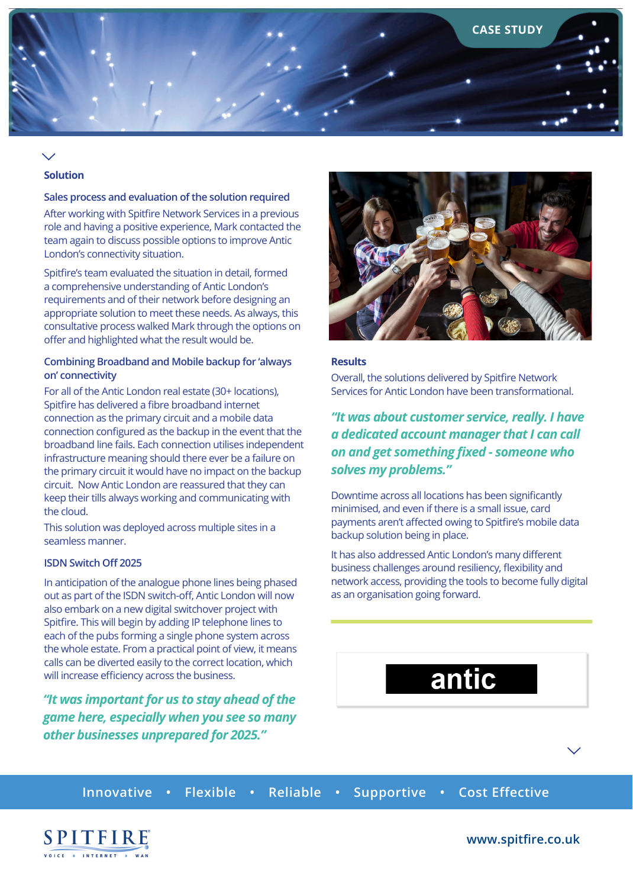

### **Solution**

#### **Sales process and evaluation of the solution required**

After working with Spitfire Network Services in a previous role and having a positive experience, Mark contacted the team again to discuss possible options to improve Antic London's connectivity situation.

Spitfire's team evaluated the situation in detail, formed a comprehensive understanding of Antic London's requirements and of their network before designing an appropriate solution to meet these needs. As always, this consultative process walked Mark through the options on offer and highlighted what the result would be.

#### **Combining Broadband and Mobile backup for 'always on' connectivity**

For all of the Antic London real estate (30+ locations), Spitfire has delivered a fibre broadband internet connection as the primary circuit and a mobile data connection configured as the backup in the event that the broadband line fails. Each connection utilises independent infrastructure meaning should there ever be a failure on the primary circuit it would have no impact on the backup circuit. Now Antic London are reassured that they can keep their tills always working and communicating with the cloud.

This solution was deployed across multiple sites in a seamless manner.

#### **ISDN Switch Off 2025**

In anticipation of the analogue phone lines being phased out as part of the ISDN switch-off, Antic London will now also embark on a new digital switchover project with Spitfire. This will begin by adding IP telephone lines to each of the pubs forming a single phone system across the whole estate. From a practical point of view, it means calls can be diverted easily to the correct location, which will increase efficiency across the business.

*"It was important for us to stay ahead of the game here, especially when you see so many other businesses unprepared for 2025."*



#### **Results**

Overall, the solutions delivered by Spitfire Network Services for Antic London have been transformational.

### *"It was about customer service, really. I have a dedicated account manager that I can call on and get something fixed - someone who solves my problems."*

Downtime across all locations has been significantly minimised, and even if there is a small issue, card payments aren't affected owing to Spitfire's mobile data backup solution being in place.

It has also addressed Antic London's many different business challenges around resiliency, flexibility and network access, providing the tools to become fully digital as an organisation going forward.

# antic

**Innovative • Flexible • Reliable • Supportive • Cost Effective**



#### **www.spitfire.co.uk**